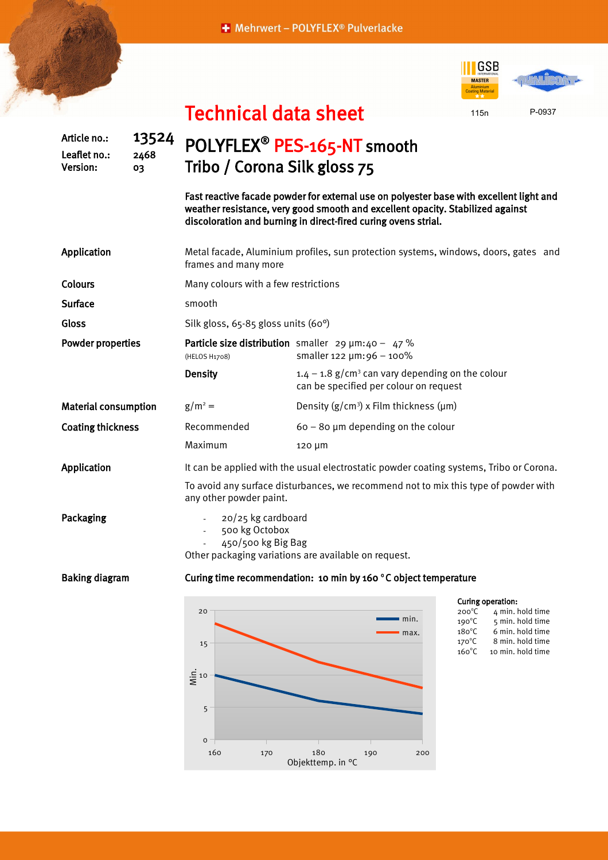## + Mehrwert - POLYFLEX® Pulverlacke

Technical data sheet



Article no.: 13524 Leaflet no.: 2468 Version: 03 POLYFLEX<sup>®</sup> PES-165-NT smooth Tribo / Corona Silk gloss 75 Fast reactive facade powder for external use on polyester base with excellent light and weather resistance, very good smooth and excellent opacity. Stabilized against discoloration and burning in direct-fired curing ovens strial. Application Metal facade, Aluminium profiles, sun protection systems, windows, doors, gates and frames and many more Colours **Colours** Many colours with a few restrictions Surface smooth Gloss Silk gloss, 65-85 gloss units (60°) Powder properties Particle size distribution smaller  $29 \mu m: 40 - 47 \%$ (HELOS H1708) smaller 122 µm:96 – 100% **Density 1.4** – 1.8 g/cm<sup>3</sup> can vary depending on the colour can be specified per colour on request Material consumption  $g/m^2 =$  $=$  Density ( $g/cm<sup>3</sup>$ ) x Film thickness ( $\mu$ m) Coating thickness Recommended 60 – 80 µm depending on the colour Maximum 120 µm Application It can be applied with the usual electrostatic powder coating systems, Tribo or Corona. To avoid any surface disturbances, we recommend not to mix this type of powder with any other powder paint. Packaging **Packaging** 20/25 kg cardboard - 500 kg Octobox - 450/500 kg Big Bag Other packaging variations are available on request. Baking diagram Curing time recommendation: 10 min by 160 °C object temperature



| Curing operation: |
|-------------------|
|                   |

| $200^{\circ}$ C | 4 min. hold time  |
|-----------------|-------------------|
| $190^{\circ}$ C | 5 min. hold time  |
| $180^{\circ}$ C | 6 min. hold time  |
| $170^{\circ}$ C | 8 min. hold time  |
| $160^{\circ}$ C | 10 min. hold time |